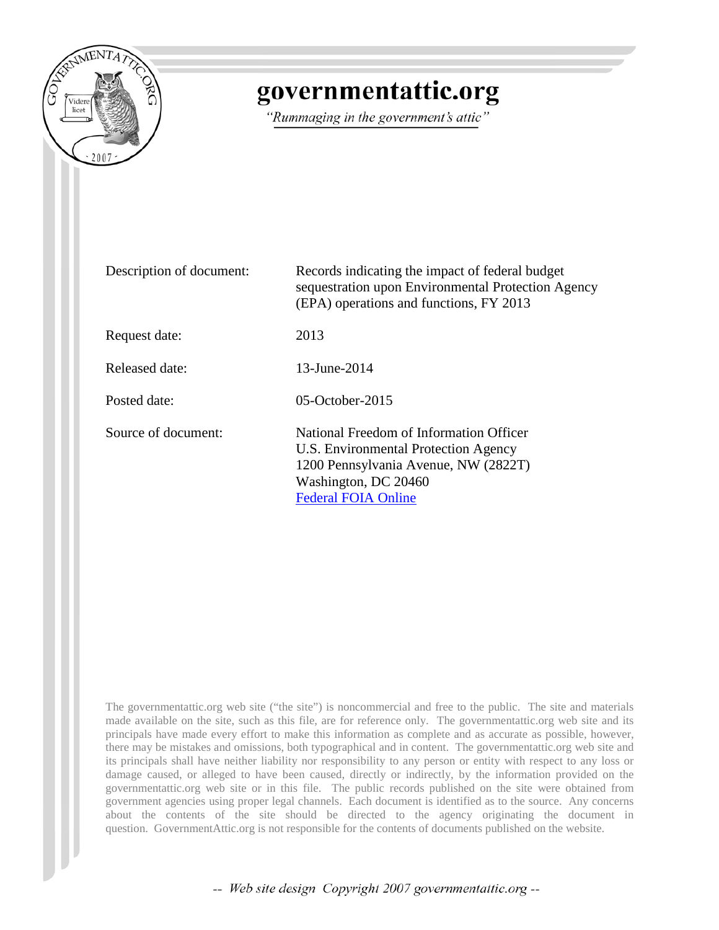

# governmentattic.org

"Rummaging in the government's attic"

| Description of document: | Records indicating the impact of federal budget<br>sequestration upon Environmental Protection Agency<br>(EPA) operations and functions, FY 2013                              |
|--------------------------|-------------------------------------------------------------------------------------------------------------------------------------------------------------------------------|
| Request date:            | 2013                                                                                                                                                                          |
| Released date:           | 13-June-2014                                                                                                                                                                  |
| Posted date:             | $05$ -October-2015                                                                                                                                                            |
| Source of document:      | National Freedom of Information Officer<br>U.S. Environmental Protection Agency<br>1200 Pennsylvania Avenue, NW (2822T)<br>Washington, DC 20460<br><b>Federal FOIA Online</b> |

The governmentattic.org web site ("the site") is noncommercial and free to the public. The site and materials made available on the site, such as this file, are for reference only. The governmentattic.org web site and its principals have made every effort to make this information as complete and as accurate as possible, however, there may be mistakes and omissions, both typographical and in content. The governmentattic.org web site and its principals shall have neither liability nor responsibility to any person or entity with respect to any loss or damage caused, or alleged to have been caused, directly or indirectly, by the information provided on the governmentattic.org web site or in this file. The public records published on the site were obtained from government agencies using proper legal channels. Each document is identified as to the source. Any concerns about the contents of the site should be directed to the agency originating the document in question. GovernmentAttic.org is not responsible for the contents of documents published on the website.

-- Web site design Copyright 2007 governmentattic.org --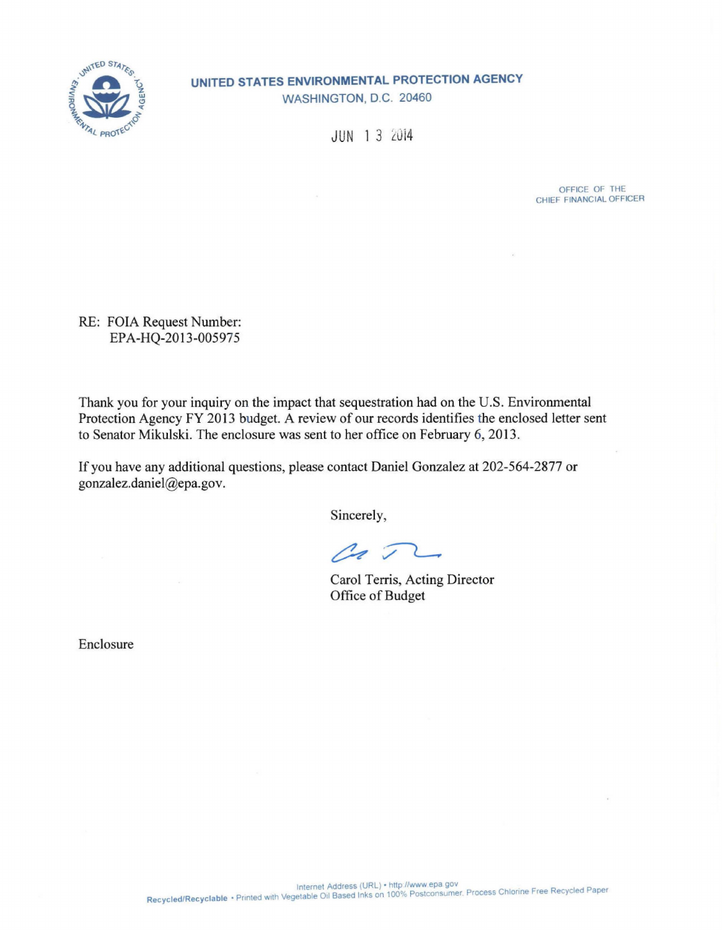

**UNITED STATES ENVIRONMENTAL PROTECTION AGENCY**  WASHINGTON, D.C. 20460

JUN 13 2014

OFFICE OF THE CHIEF FINANCIAL OFFICER

RE: FOIA Request Number: EPA-HQ-2013-005975

Thank you for your inquiry on the impact that sequestration had on the U.S. Environmental Protection Agency FY 2013 budget. A review of our records identifies the enclosed letter sent to Senator Mikulski. The enclosure was sent to her office on February 6, 2013.

If you have any additional questions, please contact Daniel Gonzalez at 202-564-2877 or gonzalez.daniel@epa.gov.

Sincerely,

Pa T

Carol Terris, Acting Director Office of Budget

Enclosure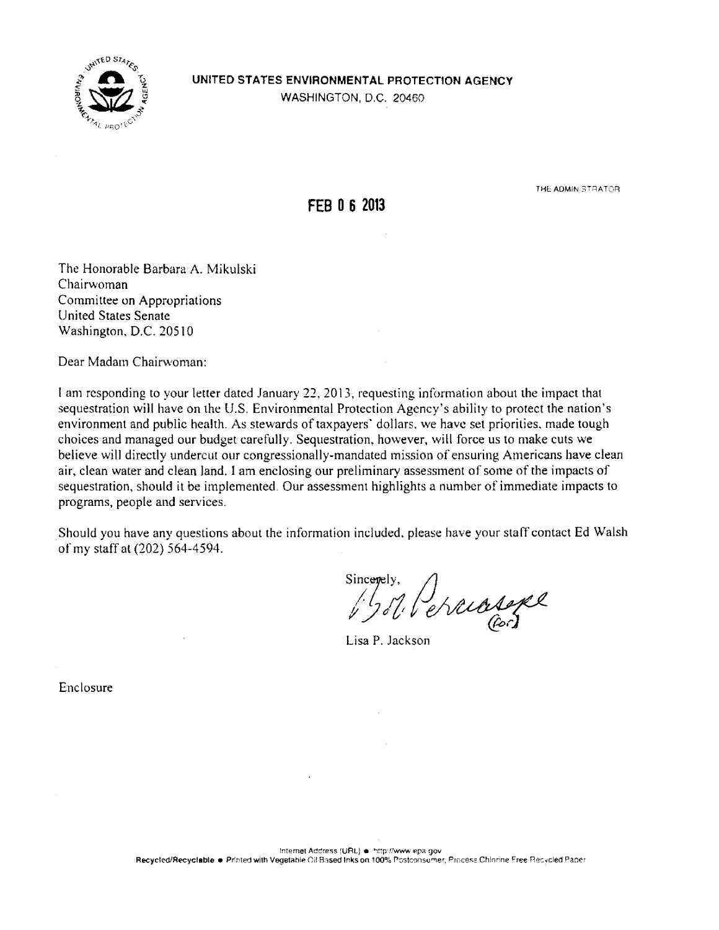

# **UNITED STATES ENVIRONMENTAL PROTECTION AGENCY**

WASHINGTON, D.C. 20460

**FEB 0 6 2013** 

THE ADMINISTRATOR

The Honorable Barbara A. Mikulski Chairwoman Committee on Appropriations United States Senate Washington. D.C. 20510

Dear Madam Chairwoman:

I am responding to your letter dated January 22, 2013, requesting information about the impact that sequestration will have on the U.S. Environmental Protection Agency's ability to protect the nation's environment and public health. As stewards of taxpayers' dollars, we have set priorities, made tough choices and managed our budget carefully. Sequestration, however, will force us to make cuts we believe will directly undercut our congressionally-mandated mission of ensuring Americans have clean air, clean water and clean land. I am enclosing our preliminary assessment of some of the impacts of sequestration, should it be implemented. Our assessment highlights a number of immediate impacts to programs, people and services.

Should you have any questions about the information included. please have your staff contact Ed Walsh of my staff at (202) 564-4594.

Sinceres,

Lisa P. Jackson

Enclosure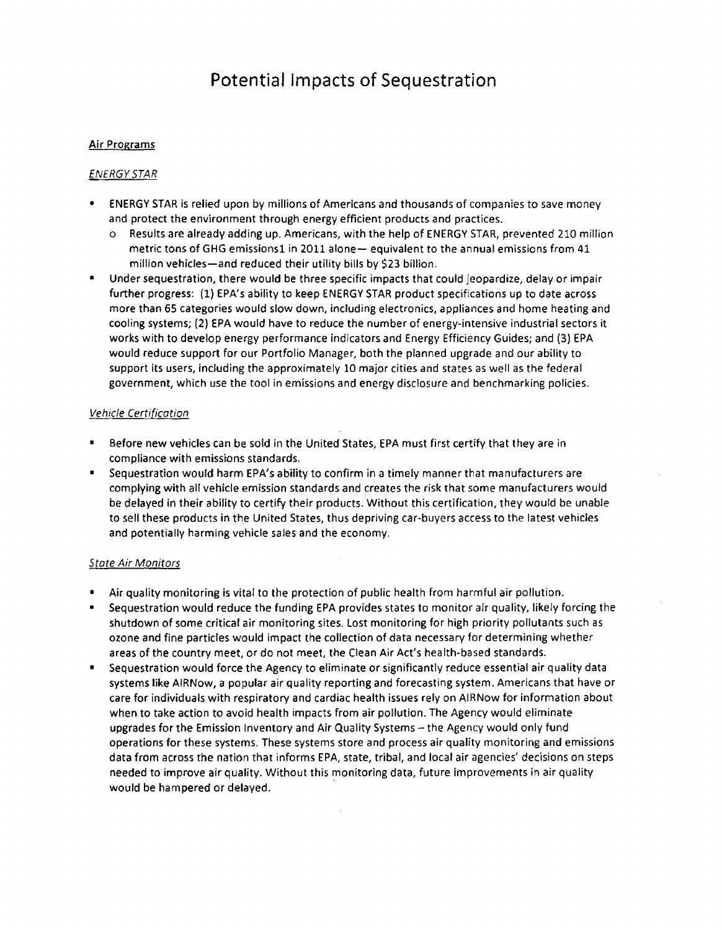# Air Programs

# *ENERGY STAR*

- ENERGY STAR is relied upon by millions of Americans and thousands of companies to save money and protect the environment through energy efficient products and practices.
	- o Results are already adding up. Americans, with the help of ENERGY STAR, prevented 210 million metric tons of GHG emissions1 in 2011 alone- equivalent to the annual emissions from 41 million vehicles-and reduced their utility bills by \$23 billion.
- Under sequestration, there would be three specific impacts that could jeopardize, delay or impair further progress: (1) EPA's ability to keep ENERGY STAR product specifications up to date across more than 65 categories would slow down, including electronics, appliances and home heating and cooling systems; (2) EPA would have to reduce the number of energy-intensive industrial sectors it works with to develop energy performance indicators and Energy Efficiency Guides; and (3) EPA would reduce support for our Portfolio Manager, both the planned upgrade and our ability to support its users, including the approximately 10 major cities and states as well as the federal government, which use the tool in emissions and energy disclosure and benchmarking policies.

#### Vehicle Certification

- Before new vehicles can be sold in the United States, EPA must first certify that they are in compliance with emissions standards.
- Sequestration would harm EPA's ability to confirm in a timely manner that manufacturers are complying with all vehicle emission standards and creates the risk that some manufacturers would be delayed in their ability to certify their products. Without this certification, they would be unable to sell these products in the United States, thus depriving car-buyers access to the latest vehicles and potentially harming vehicle sales and the economy.

### State Air Monitors

- Air quality monitoring is vital to the protection of public health from harmful air pollution.
- Sequestration would reduce the funding EPA provides states to monitor alr quality, likely forcing the shutdown of some critical air monitoring sites. Lost monitoring for high priority pollutants such as ozone and fine particles would impact the collection of data necessary for determining whether areas of the country meet, or do not meet, the Clean Air Act's health-based standards.
- Sequestration would force the Agency to eliminate or significantly reduce essential air quality data systems like AIRNow, a popular air quality reporting and forecasting system. Americans that have or care for individuals with respiratory and cardiac health issues rely on AIRNow for information about when to take action to avoid health impacts from air pollution. The Agency would eliminate upgrades for the Emission Inventory and Air Quality Systems - the Agency would only fund operations for these systems. These systems store and process air quality monitoring and emissions data from across the nation that informs EPA, state, tribal, and local air agencies' decisions on steps needed to improve air quality. Without this monitoring data, future improvements in air quality would be hampered or delayed.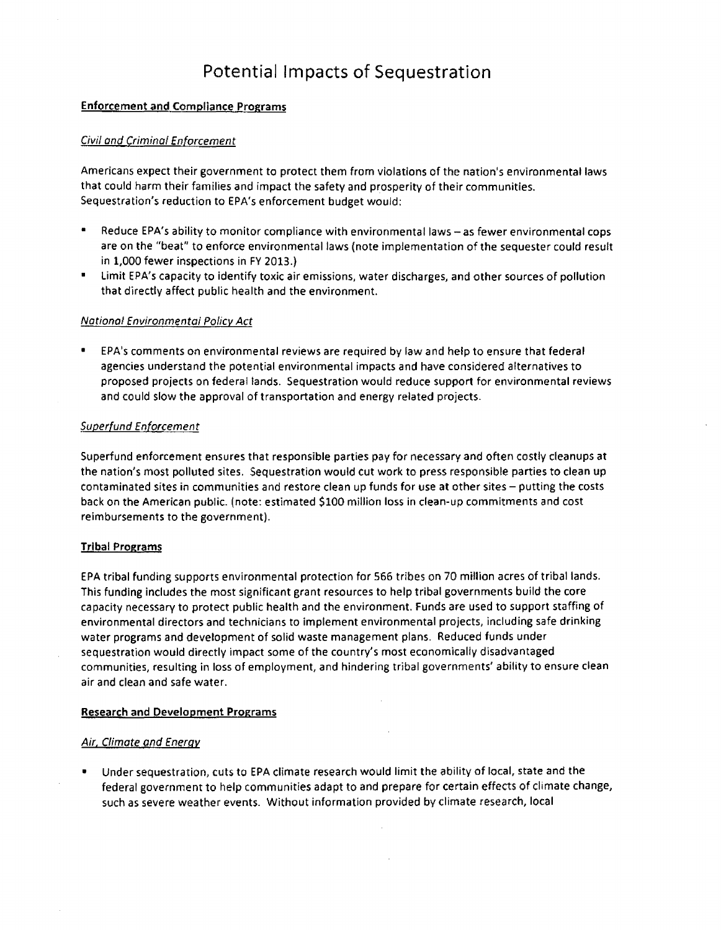# Enforcement and Compliance Programs

# Civil and Criminal Enforcement

Americans expect their government to protect them from violations of the nation's environmental laws that could harm their families and impact the safety and prosperity of their communities. Sequestration's reduction to EPA's enforcement budget would:

- Reduce EPA's ability to monitor compliance with environmental laws - as fewer environmental cops are on the "beat" to enforce environmental laws (note implementation of the sequester could result in 1,000 fewer inspections in FY 2013.)
- Limit EPA's capacity to identify toxic air emissions, water discharges, and other sources of pollution that directly affect public health and the environment.

### National Environmental Policy Act

• EPA's comments on environmental reviews are required by law and help to ensure that federal agencies understand the potential environmental impacts and have considered alternatives to proposed projects on federal lands. Sequestration would reduce support for environmental reviews and could slow the approval of transportation and energy related projects.

### Superfund Enforcement

Superfund enforcement ensures that responsible parties pay for necessary and often costly cleanups at the nation's most polluted sites. Sequestration would cut work to press responsible parties to clean up contaminated sites in communities and restore clean up funds for use at other sites - putting the costs back on the American public. (note: estimated \$100 million loss in clean-up commitments and cost reimbursements to the government).

### Tribal Programs

EPA tribal funding supports environmental protection for 566 tribes on 70 million acres of tribal lands. This funding includes the most significant grant resources to help tribal governments build the core capacity necessary to protect public health and the environment. Funds are used to support staffing of environmental directors and technicians to implement environmental projects, including safe drinking water programs and development of solid waste management plans. Reduced funds under sequestration would directly impact some of the country's most economically disadvantaged communities, resulting in loss of employment, and hindering tribal governments' ability to ensure clean air and clean and safe water.

### Research and Development Programs

### Air. Climate and Energy

• Under sequestration, cuts to EPA climate research would limit the ability of local, state and the federal government to help communities adapt to and prepare for certain effects of climate change, such as severe weather events. Without information provided by climate research, local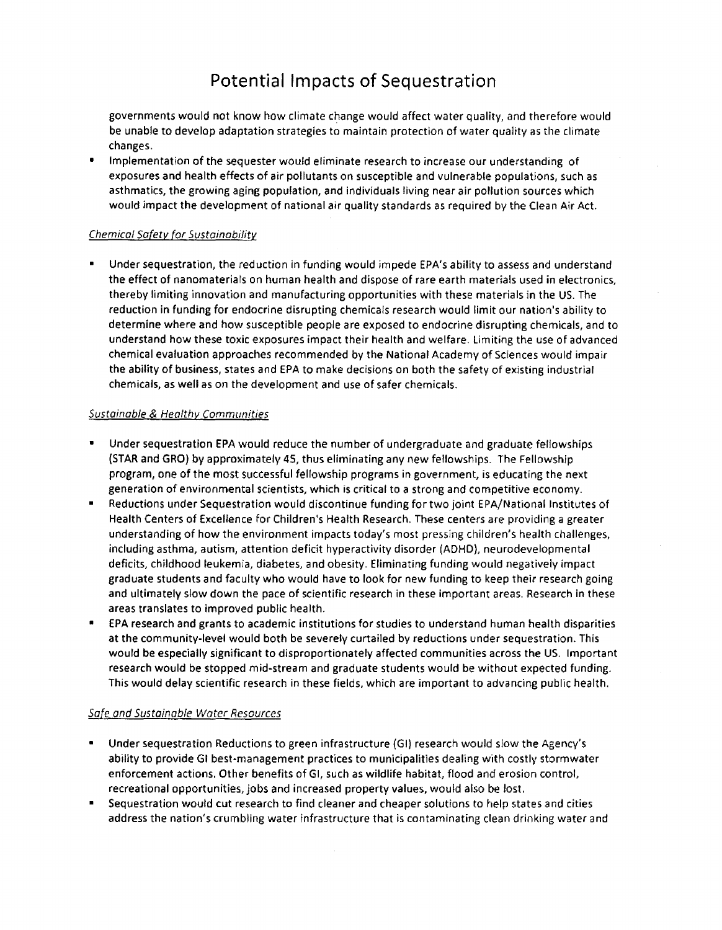governments would not know how climate change would affect water quality, and therefore would be unable to develop adaptation strategies to maintain protection of water quality as the climate changes.

• Implementation of the sequester would eliminate research to increase our understanding of exposures and health effects of air pollutants on susceptible and vulnerable populations, such as asthmatics, the growing aging population, and individuals living near air pollution sources which would impact the development of national air quality standards as required by the Clean Air Act.

# Chemical Safety for Sustainability

• Under sequestration, the reduction in funding would impede EPA's ability to assess and understand the effect of nanomaterials on human health and dispose of rare earth materials used in electronics, thereby limiting innovation and manufacturing opportunities with these materials in the US. The reduction in funding for endocrine disrupting chemicals research would limit our nation's ability to determine where and how susceptible people are exposed to endocrine disrupting chemicals, and to understand how these toxic exposures impact their health and welfare. Limiting the use of advanced chemical evaluation approaches recommended by the National Academy of Sciences would impair the ability of business, states and EPA to make decisions on both the safety of existing industrial chemicals, as well as on the development and use of safer chemicals.

# Sustainable & Healthy Communities

- Under sequestration EPA would reduce the number of undergraduate and graduate fellowships (STAR and GRO) by approximately 45, thus eliminating any new fellowships. The Fellowship program, one of the most successful fellowship programs in government, is educating the next generation of environmental scientists, which is critical to a strong and competitive economy.
- Reductions under Sequestration would discontinue funding for two joint EPA/National Institutes of Health Centers of Excellence for Children's Health Research. These centers are providing a greater understanding of how the environment impacts today's most pressing children's health challenges, including asthma, autism, attention deficit hyperactivity disorder (ADHD), neurodevelopmental deficits, childhood leukemia, diabetes, and obesity. Eliminating funding would negatively impact graduate students and faculty who would have to look for new funding to keep their research going and ultimately slow down the pace of scientific research in these important areas. Research in these areas translates to improved public health.
- EPA research and grants to academic institutions for studies to understand human health disparities at the community-level would both be severely curtailed by reductions under sequestration. This would be especially significant to disproportionately affected communities across the US. Important research would be stopped mid-stream and graduate students would be without expected funding. This would delay scientific research in these fields, which are important to advancing public health.

### Safe and Sustainable Water Resources

- Under sequestration Reductions to green infrastructure (GI) research would slow the Agency's ability to provide GI best-management practices to municipalities dealing with costly storm water enforcement actions. Other benefits of GI, such as wildlife habitat, flood and erosion control, recreational opportunities, jobs and increased property values, would also be Jost.
- Sequestration would cut research to find cleaner and cheaper solutions to help states and cities address the nation's crumbling water infrastructure that is contaminating clean drinking water and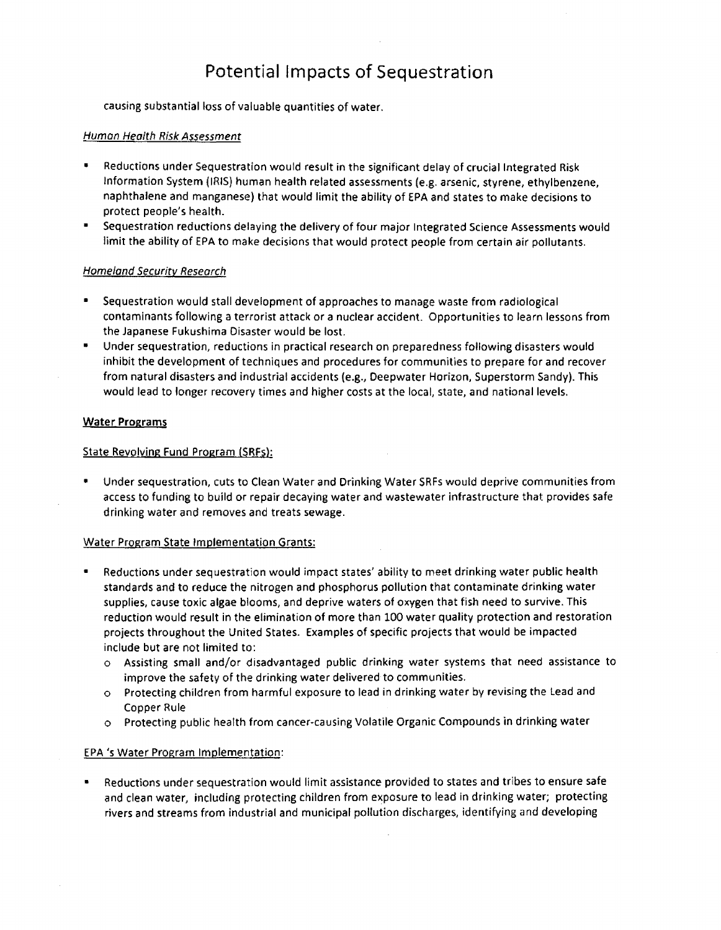causing substantial loss of valuable quantities of water.

### Human Health Risk Assessment

- Reductions under Sequestration would result in the significant delay of crucial Integrated Risk Information System (IRIS) human health related assessments (e.g. arsenic, styrene, ethylbenzene, naphthalene and manganese) that would limit the ability of EPA and states to make decisions to protect people's health.
- Sequestration reductions delaying the delivery of four major Integrated Science Assessments would limit the ability of EPA to make decisions that would protect people from certain air pollutants.

# Homeland Security Research

- Sequestration would stall development of approaches to manage waste from radiological contaminants following a terrorist attack or a nuclear accident. Opportunities to learn lessons from the Japanese Fukushima Disaster would be lost.
- Under sequestration, reductions in practical research on preparedness following disasters would inhibit the development of techniques and procedures for communities to prepare for and recover from natural disasters and industrial accidents (e.g., Deepwater Horizon, Superstorm Sandy). This would lead to longer recovery times and higher costs at the local, state, and national levels.

# Water Programs

# State Revolving Fund Program (SRFs):

• Under sequestration, cuts to Clean Water and Drinking Water SRFs would deprive communities from access to funding to build or repair decaying water and wastewater infrastructure that provides safe drinking water and removes and treats sewage.

### Water Program State Implementation Grants:

- Reductions under sequestration would impact states' ability to meet drinking water public health standards and to reduce the nitrogen and phosphorus pollution that contaminate drinking water supplies, cause toxic algae blooms, and deprive waters of oxygen that fish need to survive. This reduction would result in the elimination of more than 100 water quality protection and restoration projects throughout the United States. Examples of specific projects that would be impacted include but are not limited to:
	- o Assisting small and/or disadvantaged public drinking water systems that need assistance to improve the safety of the drinking water delivered to communities.
	- o Protecting children from harmful exposure to lead in drinking water by revising the Lead and Copper Rule
	- o Protecting public health from cancer-causing Volatile Organic Compounds in drinking water

# EPA 's Water Program Implementation:

• Reductions under sequestration would limit assistance provided to states and tribes to ensure safe and clean water, including protecting children from exposure to lead in drinking water; protecting rivers and streams from industrial and municipal pollution discharges, identifying and developing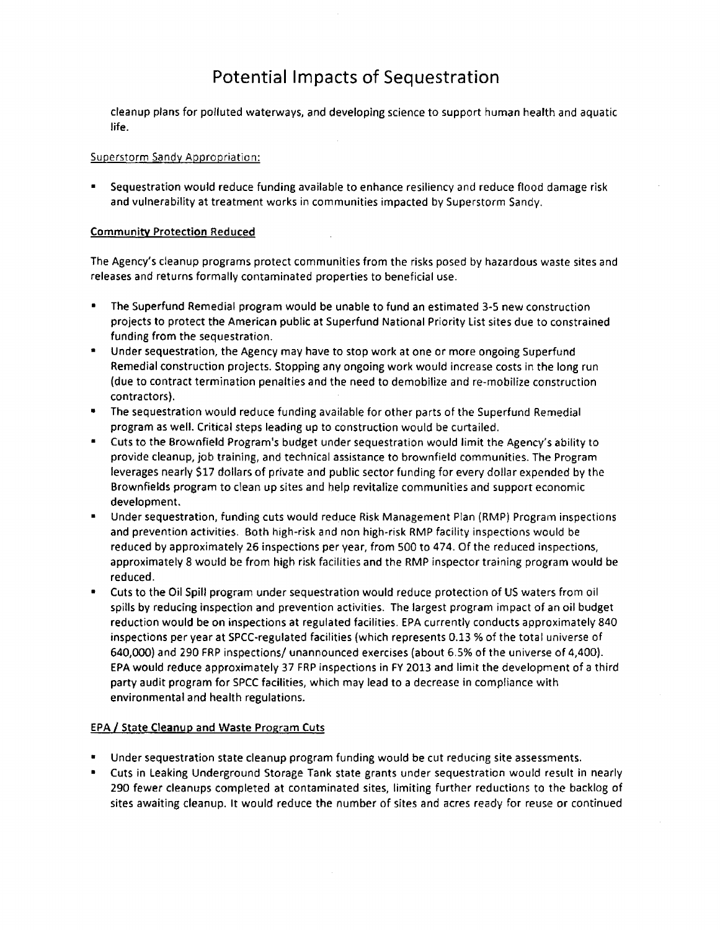cleanup plans for polluted waterways, and developing science to support human health and aquatic life.

#### Superstorm Sandy Appropriation:

• Sequestration would reduce funding available to enhance resiliency and reduce flood damage risk and vulnerability at treatment works in communities impacted by Superstorm Sandy.

### Community Protection Reduced

The Agency's cleanup programs protect communities from the risks posed by hazardous waste sites and releases and returns formally contaminated properties to beneficial use.

- The Superfund Remedial program would be unable to fund an estimated 3-5 new construction projects to protect the American public at Superfund National Priority List sites due to constrained funding from the sequestration.
- Under sequestration, the Agency may have to stop work at one or more ongoing Superfund Remedial construction projects. Stopping any ongoing work would increase costs in the long run (due to contract termination penalties and the need to demobilize and re-mobilize construction contractors).
- The sequestration would reduce funding available for other parts of the Superfund Remedial program as well. Critical steps leading up to construction would be curtailed.
- Cuts to the Brownfield Program's budget under sequestration would limit the Agency's ability to provide cleanup, job training, and technical assistance to brownfield communities. The Program leverages nearly \$17 dollars of private and public sector funding for every dollar expended by the Brownfields program to clean up sites and help revitalize communities and support economic development.
- Under sequestration, funding cuts would reduce Risk Management Plan (RMP) Program inspections and prevention activities. Both high-risk and non high-risk RMP facility inspections would be reduced by approximately 26 inspections per year, from 500 to 474. Of the reduced inspections, approximately 8 would be from high risk facilities and the RMP inspector training program would be reduced.
- Cuts to the Oil Spill program under sequestration would reduce protection of US waters from oil spills by reducing inspection and prevention activities. The largest program impact of an oil budget reduction would be on inspections at regulated facilities. EPA currently conducts approximately 840 inspections per year at SPCC-regulated facilities (which represents 0.13 % of the total universe of 640,000) and 290 FRP inspections/ unannounced exercises (about 6.5% of the universe of 4,400). EPA would reduce approximately 37 FRP inspections in FY 2013 and limit the development of a third party audit program for SPCC facilities, which may lead to a decrease in compliance with environmental and health regulations.

### **EPA / State Cleanup and Waste Program Cuts**

- Under sequestration state cleanup program funding would be cut reducing site assessments .
- Cuts in Leaking Underground Storage Tank state grants under sequestration would result in nearly 290 fewer cleanups completed at contaminated sites, limiting further reductions to the backlog of sites awaiting cleanup. It would reduce the number of sites and acres ready for reuse or continued